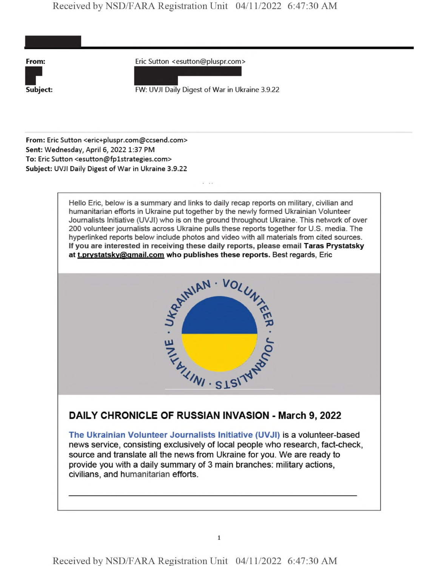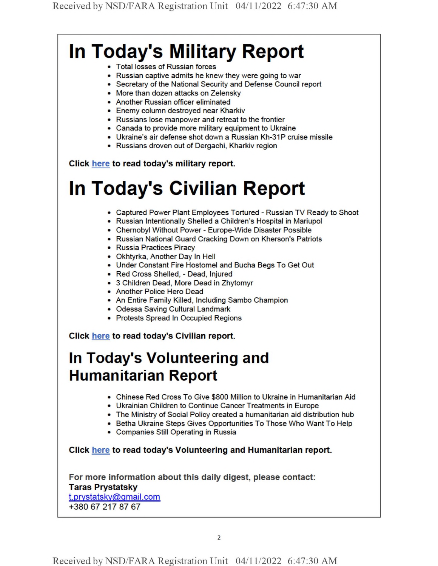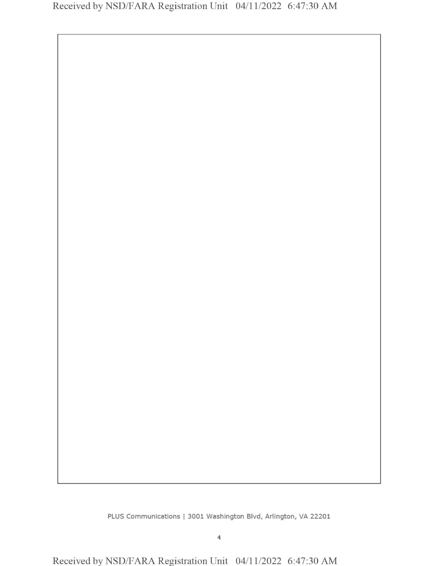PLUS Communications <sup>|</sup> 3001 Washington Blvd, Arlington, VA 22201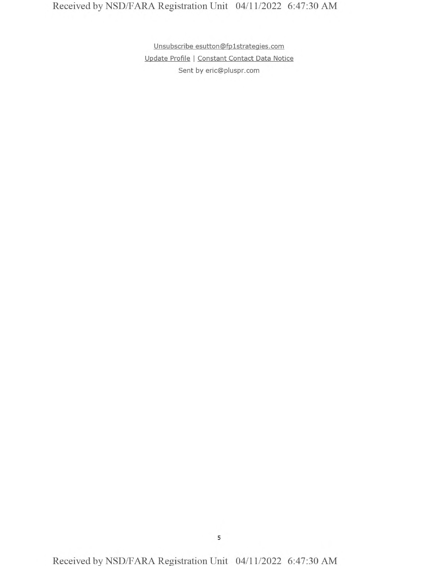## Received by NSD/FARA Registration Unit 04/11/2022 6:47:30 AM

Unsubscribe esutton@fplstrateqies.com Update Profile <sup>|</sup> Constant Contact Data Notice Sent by eric@pluspr.com